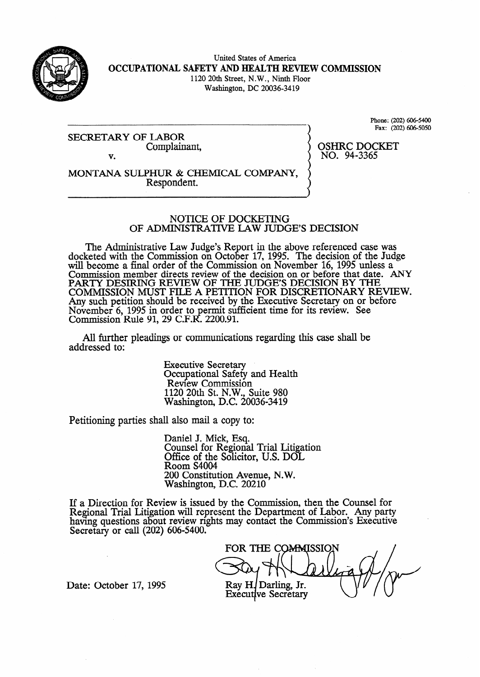

United States of America **OCCUPATIONAL SAFETY AND HEALTH REVIEW COMMISSION**  1120 20th Street, N.W., Ninth Floor Washington, DC 20036-34 19

SECRETARY OF LABOR Complainant, Phone: (202) 606-5400 Fax: (202) 606-5050

v.

OSHRC DOCKET NO. 94-3365

MONTANA SULPHUR & CHEMICAL COMPANY, Respondent.

#### NOTICE OF DOCKETING OF ADMINISTRATIVE LAW JUDGE'S DECISION

The Administrative Law Judge's Report in the above referenced case was docketed with the Commission on October 17, 1995. The decision of the Judge will become a final order of the Commission on November 16, 1995 unless a Commission member directs review of the decision on or before that date. ANY PARTY DESIRING REVIEW OF THE JUDGE'S DECISION BY THE COMMISSION MUST FILE A PETITION FOR DISCRETIONARY REVIEW. Any such petition should be received by the Executive Secretary on or before November 6, 1995 in order to permit sufficient time for its review. See Commission Rule 91, 29 C.F.R. 2200.91.

All further pleadings or communications regarding this case shall be addressed to:

> Executive Secretary Occupational Safety and Health Review Commission 1120 20th St. N.W., Suite 980 Washington, D.C. 20036-3419

Petitioning parties shall also mail a copy to:

Daniel J. Mick, Esq. Counsel for Regional Trial Litigation Office of the Solicitor, U.S. DOL Room S4004 200 Constitution Avenue, N.W. Washington., D.C. 20210

If a Direction for Review is issued by the Commission, then the Counsel for Regional Trial Litigation will represent the Department of Labor. Any party having questions about review rights may contact the Commission's Executive Secretary or call  $(202)$  606-5400.

FOR THE COMMISSION Ray H. Darling, Jr. **Executive Secretary** 

Date: October 17, 1995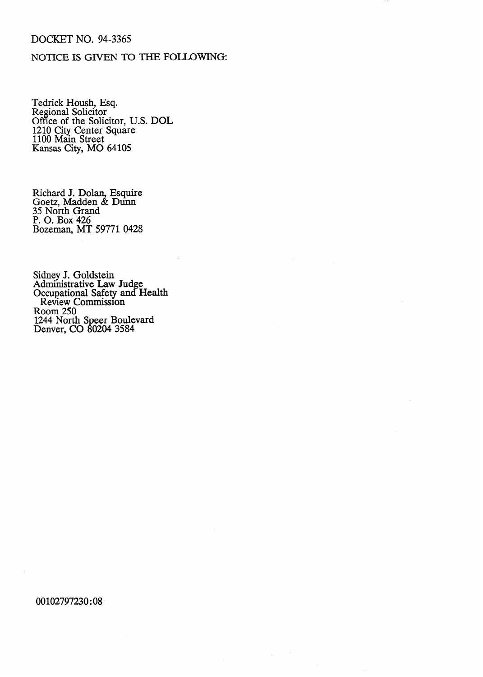#### DOCKET NO. 94-3365

### NOTICE IS GIVEN TO THE FOLLOWING:

Tedrick Housh, Esq. Regional Solicitor Office of the Solicitor, U.S. DOL 1210 City Center Square 1100 Main Street Kansas City, MO 64105

Richard J. Dolan, Esquire Goetz, Madden & Dunn 35 North Grand P. 0. Box 426 Bozeman, MT 59771 0428

Sidney J. Goldstein Administrative Law Judge Occupational Safety and Health Review Commission Room 250 1244 North Speer Boulevard Denver, CO 80204 3584

00102797230:08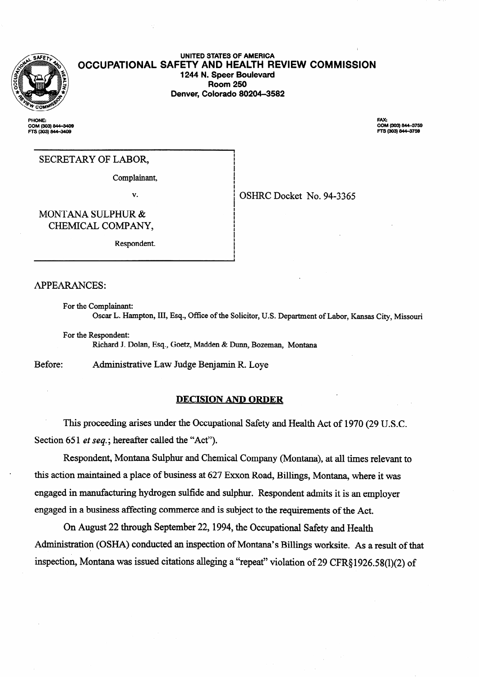

**PHONE:** COM (303) 844-3409<br>FTS (303) 844-3409

## **1244 N. Speer Boulevard Room 250 Denver, Colorado 80204-3582**

**UNITED STATES OF AMERICA OCCUPATIONAL SAFETY AND HEALTH REVIEW COMMISSION** 

> **FAX:** COM (303) 844-3759<br>FTS (303) 844-3759

#### SECRETARY OF LABOR,

Complainant,

v.

OSHRC Docket No. 94-3365

.

**.** 

MONTANA SULPHUR & CHEMICAL COMPANY,

Respondent.

APPEARANCES:

For the Complainant: Oscar L. Hampton, III, Esq., Office of the Solicitor, U.S. Department of Labor, Kansas City, Missouri

I i !<br>! !<br>! I !<br>! !<br>!

For the Respondent: Richard J. Dolan, Esq., Goetz, Madden & Dunn, Bozeman, Montana

Before: Administrative Law Judge Benjamin R. Loye

#### **DECISION AND ORDER**

This proceeding arises under the Occupational Safety and Health Act of 1970 (29 U.S.C. Section 651 *et seq.*; hereafter called the "Act").

Respondent, Montana Sulphur and Chemical Company (Montana), at all times relevant to . this action maintained a place of business at 627 Exxon Road, Billings, Montana, where it was engaged in manufacturing hydrogen sulfide and sulphur. Respondent admits it is an employer engaged in a business affecting commerce and is subject to the requirements of the Act.

On August 22 through September 22,1994, the Occupational Safety and Health Administration (OSHA) conducted an inspection of Montana's Billings worksite. As a result of that inspection, Montana was issued citations alleging a "repeat" violation of 29 CFR§ 1926.58(l)(2) of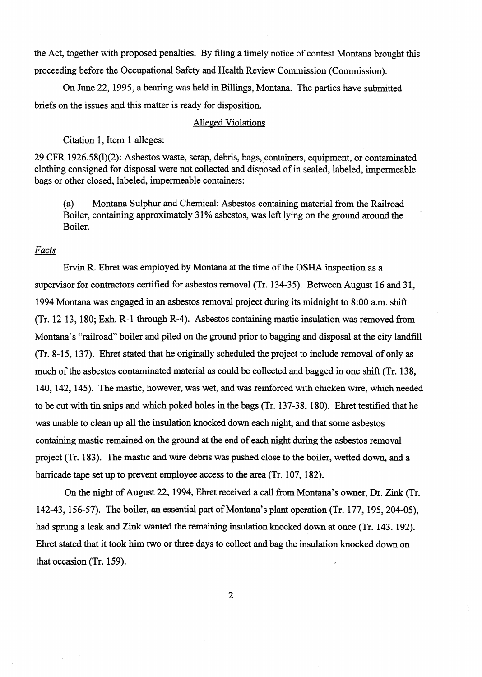the Act, together with proposed penalties. By filing a timely notice of contest Montana brought this proceeding before the Occupational Safety and Health Review Commission (Commission).

On June 22,1995, a hearing was held in Billings, Montana. The parties have submitted briefs on the issues and this matter is ready for disposition.

#### Alleged Violations

Citation 1, Item 1 alleges:

29 CFR 1926.58(l)(2): Asbestos waste, scrap, debris, bags, containers, equipment, or contaminated clothing consigned for disposal were not collected and disposed of in sealed, labeled, impermeable bags or other closed, labeled, impermeable containers:

(a) Montana Sulphur and Chemical: Asbestos containing material from the Railroad Boiler, containing approximately 31% asbestos, was left lying on the ground around the Boiler.

#### *Facts*

Ervin R. Ehret was employed by Montana at the time of the OSHA inspection as a supervisor for contractors certified for asbestos removal (Tr. 134-35). Between August 16 and 31, 1994 Montana was engaged in an asbestos removal project during its midnight to 8:00 a.m. shift (Tr. 12-13, 180; Exh. R-1 through R-4). Asbestos containing mastic insulation was removed from Montana's "railroad" boiler and piled on the ground prior to bagging and disposal at the city landfill (Tr. 8-15, 137). Ehret stated that he originally scheduled the project to include removal of only as much of the asbestos contaminated material as could be collected and bagged in one shift (Tr. 138, 140,142,145). The mastic, however, was wet, and was reinforced with chicken wire, which needed to be cut with tin snips and which poked holes in the bags (Tr. 137-38, 180). Ehret testified that he was unable to clean up all the insulation knocked down each night, and that some asbestos containing mastic remained on the ground at the end of each night during the asbestos removal project (Tr. 183). The mastic and wire debris was pushed close to the boiler, wetted down, and a barricade tape set up to prevent employee access to the area (Tr. 107,182).

On the night of August 22,1994, Ehret received a call from Montana's owner, Dr. Zink (Tr. 142-43, 156-57). The boiler, an essential part of Montana's plant operation (Tr. 177, 195,204-05), had sprung a leak and Zink wanted the remaining insulation knocked down at once (Tr. 143.192). Ehret stated that it took him two or three days to collect and bag the insulation knocked down on that occasion (Tr. 159).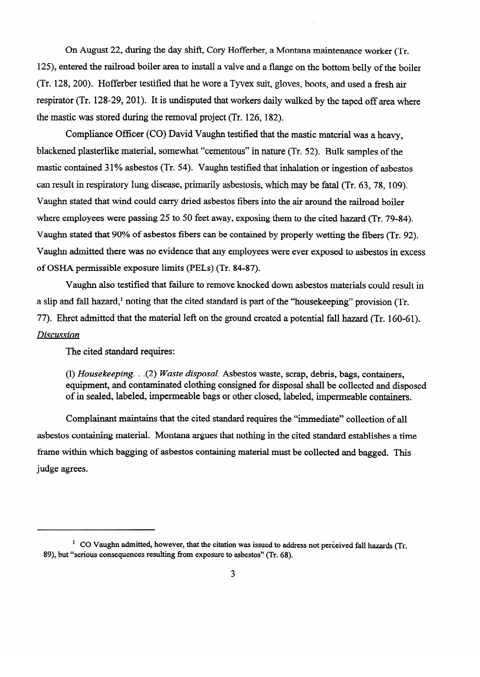On August 22, during the day shift, Cory Hofferber, a Montana maintenance worker (Tr. 125), entered the railroad boiler area to install a valve and a flange on the bottom belly of the boiler (Tr. 128,200). Hofferber testified that he wore a Tyvex suit, gloves, boots, and used a fresh air respirator (Tr. 128-29, 201). It is undisputed that workers daily walked by the taped off area where the mastic was stored during the removal project (Tr. 126, 182).

Compliance Officer (CO) David Vaughn testified that the mastic material was a heavy, blackened plasterlike material, somewhat "cementous" in nature (Tr. 52). Bulk samples of the mastic contained 31% asbestos (Tr. 54). Vaughn testified that inhalation or ingestion of asbestos<br>can result in respiratory lung disease, primarily asbestosis, which may be fatal (Tr. 63, 78, 109). can result in result in result in respiratory lung disease, primarily associated (Tr. 63,78, 109). where employees were passing 25 to 50 feet away, exposing them to the cited hazard  $(Tr, 79-84)$ . Vaughn stated that 90% of asbestos fibers can be contained by properly wetting the fibers (Tr. 92). Vaughn admitted there was no evidence that any employees were ever exposed to asbestos in excess of OSHA permissible exposure limits (PELs) (Tr. 84-87).

Vaughn also testified that failure to remove knocked down asbestos materials could result in a slip and fall hazard,<sup>1</sup> noting that the cited standard is part of the "house keeping" provision (Tr. 77). Ehret admitted that the material left on the ground created a potential fall hazard (Tr. 160-61).  $Disclusion$ 

The cited standard requires:

(1) Housekeeping.  $(2)$  Waste disposal. Asbestos waste, scrap, debris, bags, containers, equipment, and contaminated clothing consigned for disposal shall be collected and disposed of in sealed, labeled, impermeable bags or other closed, labeled, impermeable containers.

Complainant maintains that the cited standard requires the "immediate" collection of all asbestos containing material. Montana argues that nothing in the cited standard establishes a time frame within which bagging of asbestos containing material must be collected and bagged. This frame with bagging of asbestos containing material must be contained and bagging material must be collected and bagged. The collected and bagged and bagged. The collected and bagged. The collected and bagged. The collecte

<sup>&</sup>lt;sup>1</sup> CO Vaughn admitted, however, that the citation was issued to address not perceived fall hazards (Tr. 89), but "serious consequences resulting from exposure to asbestos" (Tr. 68).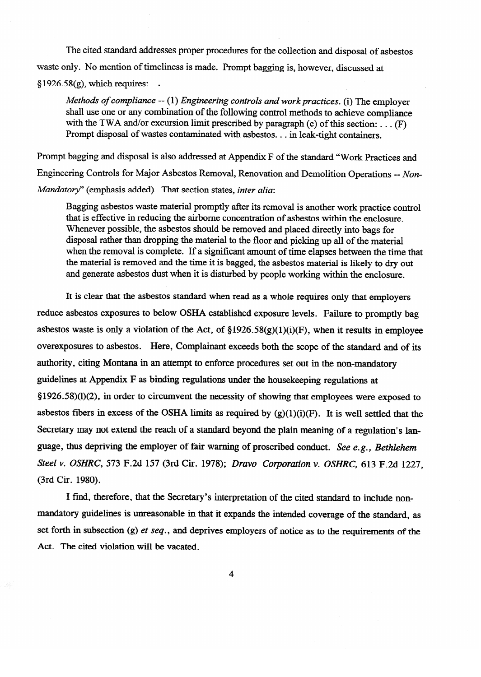The cited standard addresses proper procedures for the collection and disposal of asbestos waste only. No mention of timeliness is made. Prompt bagging is, however, discussed at  $$1926.58(g)$ , which requires:

*Methods of compliance -- (1) Engineering controls and work practices. (i) The employer shall use one or any combination of the following control methods to achieve compliance* with the TWA and/or excursion limit prescribed by paragraph (c) of this section:  $\dots$ with the TWA and or excursion limit presenced by paragraph (c) of this section: . . .  $(F)$ <br>Dromnt disposal of wastes conteminated with sebestes in look tight contributions Prompt disposal of wastes contaminated with asbestos. . . in leak-tight containers.

Prompt bagging and disposal is also addressed at Appendix F of the standard "Work Practices and<br>Engineering Controls for Major Asbestos Removal, Renovation and Demolition Operations -- Non-Mandatory" (emphasis added). That section states, inter alia:

Bagging asbestos waste material promptly after its removal is another work practice control that is effective in reducing the airborne concentration of asbestos within the enclosure. Whenever possible, the asbestos should be removed and placed directly into bags for disposal rather than dropping the material to the floor and picking up all of the material when the removal is complete. If a significant amount of time elapses between the time that the material is removed and the time it is bagged, the asbestos material is likely to dry out and generate asbestos dust when it is disturbed by people working within the enclosure.

It is clear that the asbestos standard when read as a whole requires only that employers reduce asbestos exposures to below OSHA established exposure levels. Failure to promptly bag asbestos waste is only a violation of the Act, of  $\S1926.58(g)(1)(i)(F)$ , when it results in employee overexposures to asbestos. Here, Complainant exceeds both the scope of the standard and of its authority, citing Montana in an attempt to enforce procedures set out in the non-mandatory guidelines at Appendix F as binding regulations under the housekeeping regulations at  $\S 1926.58(1)(2)$ , in order to circumvent the necessity of showing that employees were exposed to asbestos fibers in excess of the OSHA limits as required by  $(g)(1)(i)(F)$ . It is well settled that the Secretary may not extend the reach of a standard beyond the plain meaning of a regulation's language, thus depriving the employer of fair warning of proscribed conduct. See e.g., Bethlehem Steel v. OSHRC, 573 F.2d 157 (3rd Cir. 1978); Dravo Corporation v. OSHRC, 613 F.2d 1227, *Steel v. OSHRC, 573* F.2d 157 (3rd Cir. 1978); *Dravo Corporation v. OSHRC,* 613 F.2d 1227,

I find, therefore, that the Secretary's interpretation of the cited standard to include nonmandatory guidelines is unreasonable in that it expands the intended coverage of the standard, as set forth in subsection (g) et seq., and deprives employers of notice as to the requirements of the set for the subsection (g)  $\alpha$  is the requirements of the requirements of the requirements of the requirements of the requirements of the requirements of the requirements of the requirements of the requirements of the req

 $\overline{\mathbf{4}}$